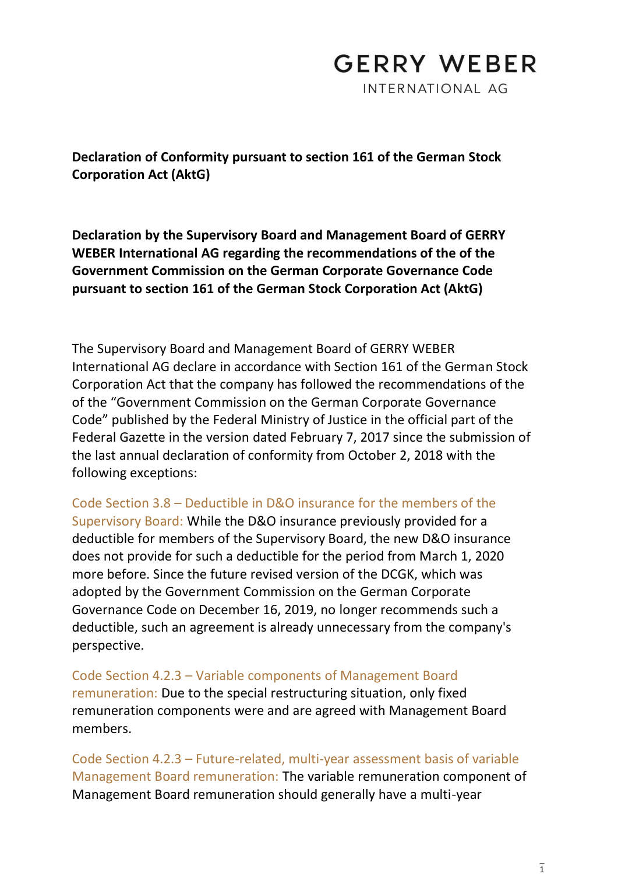## **GERRY WEBER**

INTERNATIONAL AG

**Declaration of Conformity pursuant to section 161 of the German Stock Corporation Act (AktG)**

**Declaration by the Supervisory Board and Management Board of GERRY WEBER International AG regarding the recommendations of the of the Government Commission on the German Corporate Governance Code pursuant to section 161 of the German Stock Corporation Act (AktG)**

The Supervisory Board and Management Board of GERRY WEBER International AG declare in accordance with Section 161 of the German Stock Corporation Act that the company has followed the recommendations of the of the "Government Commission on the German Corporate Governance Code" published by the Federal Ministry of Justice in the official part of the Federal Gazette in the version dated February 7, 2017 since the submission of the last annual declaration of conformity from October 2, 2018 with the following exceptions:

Code Section 3.8 – Deductible in D&O insurance for the members of the Supervisory Board: While the D&O insurance previously provided for a deductible for members of the Supervisory Board, the new D&O insurance does not provide for such a deductible for the period from March 1, 2020 more before. Since the future revised version of the DCGK, which was adopted by the Government Commission on the German Corporate Governance Code on December 16, 2019, no longer recommends such a deductible, such an agreement is already unnecessary from the company's perspective.

Code Section 4.2.3 – Variable components of Management Board remuneration: Due to the special restructuring situation, only fixed remuneration components were and are agreed with Management Board members.

Code Section 4.2.3 – Future-related, multi-year assessment basis of variable Management Board remuneration: The variable remuneration component of Management Board remuneration should generally have a multi-year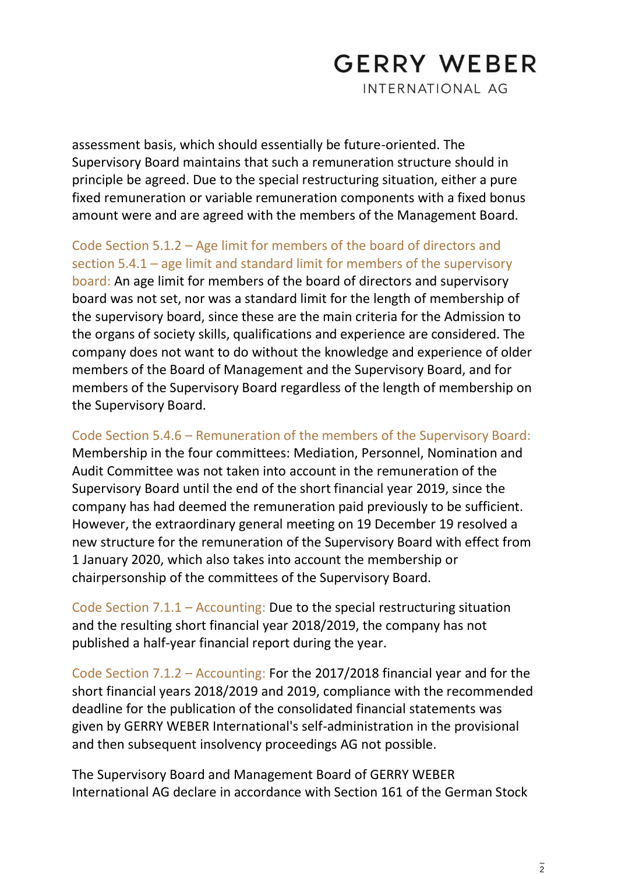## **GERRY WEBER**

INTERNATIONAL AG

assessment basis, which should essentially be future-oriented. The Supervisory Board maintains that such a remuneration structure should in principle be agreed. Due to the special restructuring situation, either a pure fixed remuneration or variable remuneration components with a fixed bonus amount were and are agreed with the members of the Management Board.

Code Section 5.1.2 – Age limit for members of the board of directors and section 5.4.1 – age limit and standard limit for members of the supervisory board: An age limit for members of the board of directors and supervisory board was not set, nor was a standard limit for the length of membership of the supervisory board, since these are the main criteria for the Admission to the organs of society skills, qualifications and experience are considered. The company does not want to do without the knowledge and experience of older members of the Board of Management and the Supervisory Board, and for members of the Supervisory Board regardless of the length of membership on the Supervisory Board.

Code Section 5.4.6 – Remuneration of the members of the Supervisory Board: Membership in the four committees: Mediation, Personnel, Nomination and Audit Committee was not taken into account in the remuneration of the Supervisory Board until the end of the short financial year 2019, since the company has had deemed the remuneration paid previously to be sufficient. However, the extraordinary general meeting on 19 December 19 resolved a new structure for the remuneration of the Supervisory Board with effect from 1 January 2020, which also takes into account the membership or chairpersonship of the committees of the Supervisory Board.

Code Section 7.1.1 – Accounting: Due to the special restructuring situation and the resulting short financial year 2018/2019, the company has not published a half-year financial report during the year.

Code Section 7.1.2 – Accounting: For the 2017/2018 financial year and for the short financial years 2018/2019 and 2019, compliance with the recommended deadline for the publication of the consolidated financial statements was given by GERRY WEBER International's self-administration in the provisional and then subsequent insolvency proceedings AG not possible.

The Supervisory Board and Management Board of GERRY WEBER International AG declare in accordance with Section 161 of the German Stock